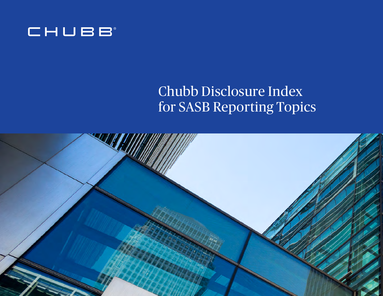

## Chubb Disclosure Index for SASB Reporting Topics

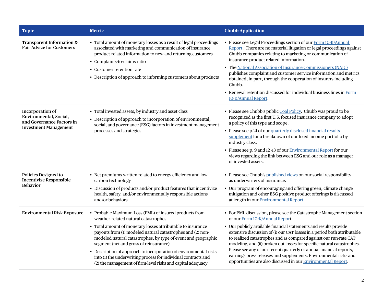| <b>Topic</b>                                                                                            | <b>Metric</b>                                                                                                                                                                                                                                                                                                                                                                                                                                                                                                                                | <b>Chubb Application</b>                                                                                                                                                                                                                                                                                                                                                                                                                                                                                                                                                                                            |
|---------------------------------------------------------------------------------------------------------|----------------------------------------------------------------------------------------------------------------------------------------------------------------------------------------------------------------------------------------------------------------------------------------------------------------------------------------------------------------------------------------------------------------------------------------------------------------------------------------------------------------------------------------------|---------------------------------------------------------------------------------------------------------------------------------------------------------------------------------------------------------------------------------------------------------------------------------------------------------------------------------------------------------------------------------------------------------------------------------------------------------------------------------------------------------------------------------------------------------------------------------------------------------------------|
| <b>Transparent Information &amp;</b><br><b>Fair Advice for Customers</b>                                | • Total amount of monetary losses as a result of legal proceedings<br>associated with marketing and communication of insurance<br>product-related information to new and returning customers<br>• Complaints-to-claims ratio<br>Customer retention rate<br>• Description of approach to informing customers about products                                                                                                                                                                                                                   | • Please see Legal Proceedings section of our Form 10-K/Annual<br>Report. There are no material litigation or legal proceedings against<br>Chubb companies relating to marketing or communication of<br>insurance product related information.<br>• The National Association of Insurance Commissioners (NAIC)<br>publishes complaint and customer service information and metrics<br>obtained, in part, through the cooperation of insurers including<br>Chubb.<br>• Renewal retention discussed for individual business lines in Form<br>10-K/Annual Report.                                                      |
| Incorporation of<br>Environmental, Social,<br>and Governance Factors in<br><b>Investment Management</b> | • Total invested assets, by industry and asset class<br>• Description of approach to incorporation of environmental,<br>social, and governance (ESG) factors in investment management<br>processes and strategies                                                                                                                                                                                                                                                                                                                            | • Please see Chubb's public Coal Policy. Chubb was proud to be<br>recognized as the first U.S. focused insurance company to adopt<br>a policy of this type and scope.<br>• Please see p.21 of our quarterly disclosed financial results<br>supplement for a breakdown of our fixed income portfolio by<br>industry class.<br>• Please see p. 9 and 12-13 of our <b>Environmental Report</b> for our<br>views regarding the link between ESG and our role as a manager<br>of invested assets.                                                                                                                        |
| <b>Policies Designed to</b><br><b>Incentivize Responsible</b><br><b>Behavior</b>                        | • Net premiums written related to energy efficiency and low<br>carbon technology<br>• Discussion of products and/or product features that incentivize<br>health, safety, and/or environmentally responsible actions<br>and/or behaviors                                                                                                                                                                                                                                                                                                      | • Please see Chubb's published views on our social responsibility<br>as underwriters of insurance.<br>• Our program of encouraging and offering green, climate change<br>mitigation and other ESG positive product offerings is discussed<br>at length in our <b>Environmental Report</b> .                                                                                                                                                                                                                                                                                                                         |
| <b>Environmental Risk Exposure</b>                                                                      | • Probable Maximum Loss (PML) of insured products from<br>weather-related natural catastrophes<br>• Total amount of monetary losses attributable to insurance<br>payouts from (1) modeled natural catastrophes and (2) non-<br>modeled natural catastrophes, by type of event and geographic<br>segment (net and gross of reinsurance)<br>• Description of approach to incorporation of environmental risks<br>into (1) the underwriting process for individual contracts and<br>(2) the management of firm-level risks and capital adequacy | • For PML discussion, please see the Catastrophe Management section<br>of our Form 10-K/Annual Report.<br>• Our publicly available financial statements and results provide<br>extensive discussion of (i) our CAT losses in a period both attributable<br>to realized catastrophes and as compared against our run-rate CAT<br>modeling, and (ii) broken out losses for specific natural catastrophes.<br>Please see any of our recent quarterly or annual financial reports,<br>earnings press releases and supplements. Environmental risks and<br>opportunities are also discussed in our Environmental Report. |